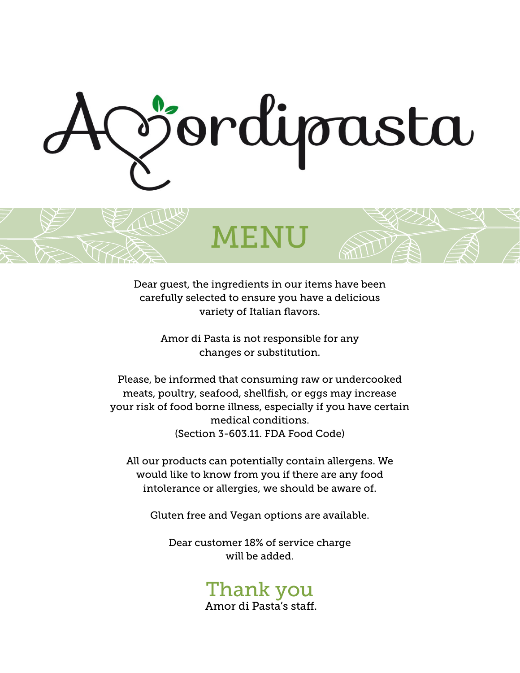

Dear guest, the ingredients in our items have been carefully selected to ensure you have a delicious variety of Italian flavors.

MENU

Amor di Pasta is not responsible for any changes or substitution.

Please, be informed that consuming raw or undercooked meats, poultry, seafood, shellfish, or eggs may increase your risk of food borne illness, especially if you have certain medical conditions. (Section 3-603.11. FDA Food Code)

All our products can potentially contain allergens. We would like to know from you if there are any food intolerance or allergies, we should be aware of.

Gluten free and Vegan options are available.

Dear customer 18% of service charge will be added.

## Thank you

Amor di Pasta's staff.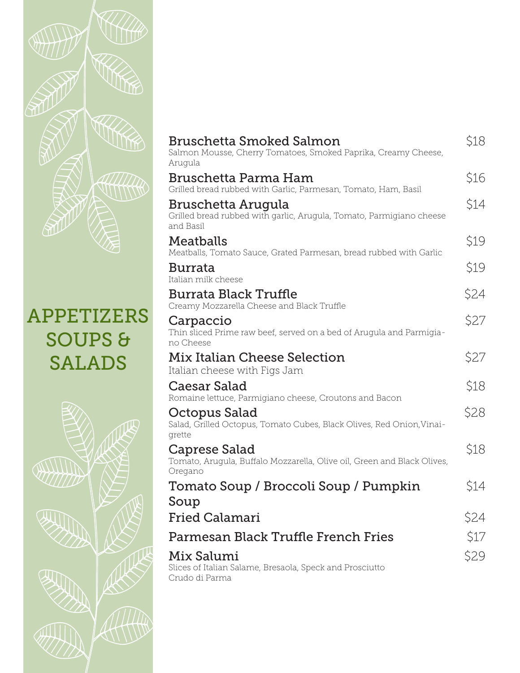

## APPETIZERS SOUPS & SALADS



| Bruschetta Smoked Salmon<br>Salmon Mousse, Cherry Tomatoes, Smoked Paprika, Creamy Cheese,<br>Arugula   | \$18 |
|---------------------------------------------------------------------------------------------------------|------|
| Bruschetta Parma Ham<br>Grilled bread rubbed with Garlic, Parmesan, Tomato, Ham, Basil                  | \$16 |
| Bruschetta Arugula<br>Grilled bread rubbed with garlic, Arugula, Tomato, Parmigiano cheese<br>and Basil | \$14 |
| Meatballs<br>Meatballs, Tomato Sauce, Grated Parmesan, bread rubbed with Garlic                         | \$19 |
| Burrata<br>Italian milk cheese                                                                          | \$19 |
| Burrata Black Truffle<br>Creamy Mozzarella Cheese and Black Truffle                                     | \$24 |
| Carpaccio<br>Thin sliced Prime raw beef, served on a bed of Arugula and Parmigia-<br>no Cheese          | \$27 |
| Mix Italian Cheese Selection<br>Italian cheese with Figs Jam                                            | \$27 |
| Caesar Salad<br>Romaine lettuce, Parmigiano cheese, Croutons and Bacon                                  | \$18 |
| Octopus Salad<br>Salad, Grilled Octopus, Tomato Cubes, Black Olives, Red Onion, Vinai-<br>grette        | \$28 |
| Caprese Salad<br>Tomato, Arugula, Buffalo Mozzarella, Olive oil, Green and Black Olives,<br>Oregano     | \$18 |
| Tomato Soup / Broccoli Soup / Pumpkin                                                                   | \$14 |
| Soup<br><b>Fried Calamari</b>                                                                           | \$24 |
| Parmesan Black Truffle French Fries                                                                     | \$17 |
| Mix Salumi<br>Slices of Italian Salame, Bresaola, Speck and Prosciutto<br>Crudo di Parma                | \$29 |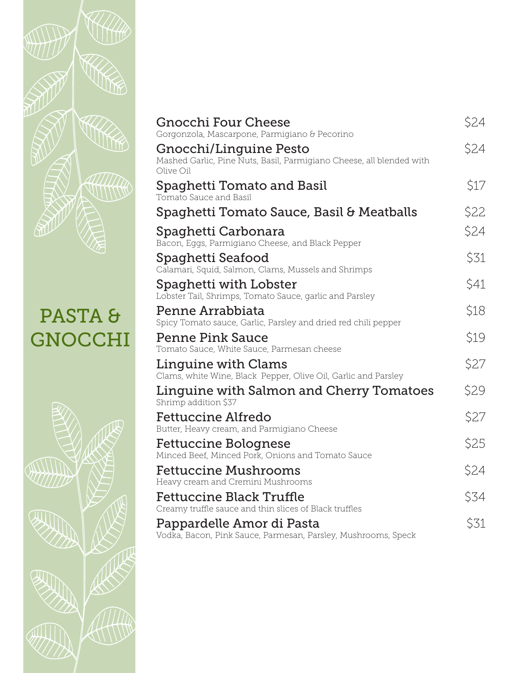

## PASTA & **GNOCCHI**



| <b>Gnocchi Four Cheese</b><br>Gorgonzola, Mascarpone, Parmigiano & Pecorino                                 | \$24 |
|-------------------------------------------------------------------------------------------------------------|------|
| Gnocchi/Linguine Pesto<br>Mashed Garlic, Pine Nuts, Basil, Parmigiano Cheese, all blended with<br>Olive Oil | \$24 |
| Spaghetti Tomato and Basil<br>Tomato Sauce and Basil                                                        | \$17 |
| Spaghetti Tomato Sauce, Basil & Meatballs                                                                   | \$22 |
| Spaghetti Carbonara<br>Bacon, Eggs, Parmigiano Cheese, and Black Pepper                                     | \$24 |
| Spaghetti Seafood<br>Calamari, Squid, Salmon, Clams, Mussels and Shrimps                                    | \$31 |
| Spaghetti with Lobster<br>Lobster Tail, Shrimps, Tomato Sauce, garlic and Parsley                           | \$41 |
| Penne Arrabbiata<br>Spicy Tomato sauce, Garlic, Parsley and dried red chili pepper                          | \$18 |
| Penne Pink Sauce<br>Tomato Sauce, White Sauce, Parmesan cheese                                              | \$19 |
| Linguine with Clams<br>Clams, white Wine, Black Pepper, Olive Oil, Garlic and Parsley                       | \$27 |
| Linguine with Salmon and Cherry Tomatoes<br>Shrimp addition \$37                                            | \$29 |
| Fettuccine Alfredo<br>Butter, Heavy cream, and Parmigiano Cheese                                            | \$27 |
| Fettuccine Bolognese<br>Minced Beef, Minced Pork, Onions and Tomato Sauce                                   | \$25 |
| Fettuccine Mushrooms<br>Heavy cream and Cremini Mushrooms                                                   | \$24 |
| Fettuccine Black Truffle<br>Creamy truffle sauce and thin slices of Black truffles                          | \$34 |
| Pappardelle Amor di Pasta<br>Vodka, Bacon, Pink Sauce, Parmesan, Parsley, Mushrooms, Speck                  | \$31 |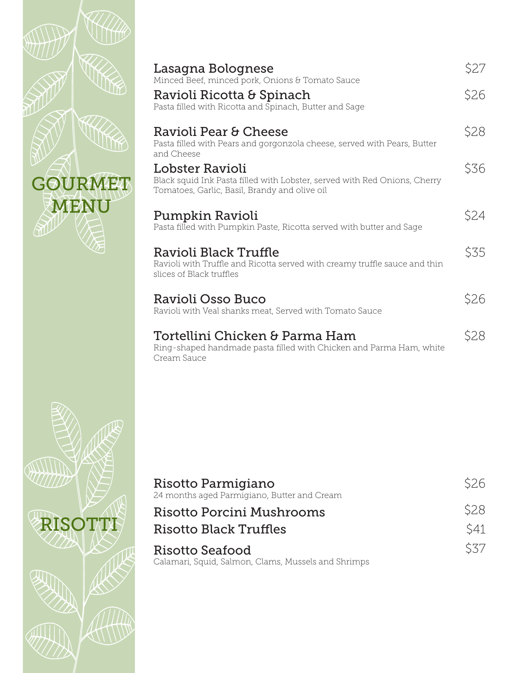|         | Lasagna Bolognese<br>Minced Beef, minced pork, Onions & Tomato Sauce<br>Ravioli Ricotta & Spinach                                                                         | \$27<br>\$26 |
|---------|---------------------------------------------------------------------------------------------------------------------------------------------------------------------------|--------------|
|         | Pasta filled with Ricotta and Spinach, Butter and Sage<br>Ravioli Pear & Cheese<br>Pasta filled with Pears and gorgonzola cheese, served with Pears, Butter<br>and Cheese | \$28         |
| GOURMET | Lobster Ravioli<br>Black squid Ink Pasta filled with Lobster, served with Red Onions, Cherry<br>Tomatoes, Garlic, Basil, Brandy and olive oil                             | \$36         |
| MENU    | Pumpkin Ravioli<br>Pasta filled with Pumpkin Paste, Ricotta served with butter and Sage                                                                                   | \$24         |
|         | Ravioli Black Truffle<br>Ravioli with Truffle and Ricotta served with creamy truffle sauce and thin<br>slices of Black truffles                                           | \$35         |
|         | Ravioli Osso Buco<br>Ravioli with Veal shanks meat, Served with Tomato Sauce                                                                                              | \$26         |
|         | Tortellini Chicken & Parma Ham<br>Ring-shaped handmade pasta filled with Chicken and Parma Ham, white<br>Cream Sauce                                                      | \$28         |



| Risotto Parmigiano<br>24 months aged Parmigiano, Butter and Cream      | S <sub>26</sub> |
|------------------------------------------------------------------------|-----------------|
| Risotto Porcini Mushrooms                                              | <b>\$28</b>     |
| Risotto Black Truffles                                                 | S41             |
| Risotto Seafood<br>Calamari, Squid, Salmon, Clams, Mussels and Shrimps | <i>S37</i>      |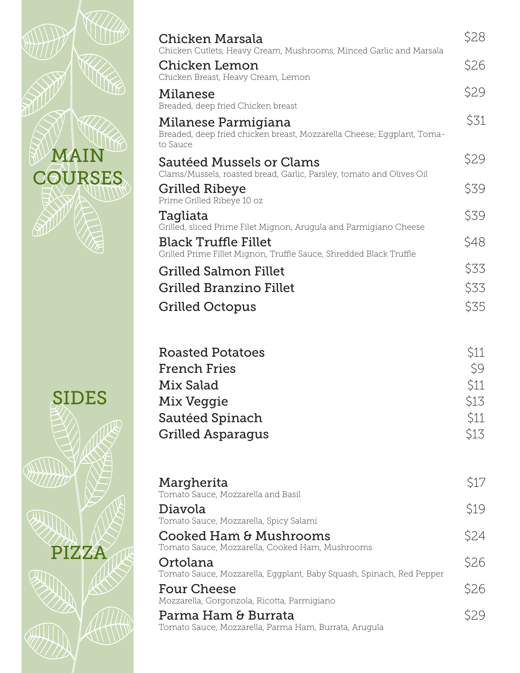| Chicken Marsala                                                                                                          | \$28                                                                                                                                                                                                                                                                                                                                                                                                                                                         |
|--------------------------------------------------------------------------------------------------------------------------|--------------------------------------------------------------------------------------------------------------------------------------------------------------------------------------------------------------------------------------------------------------------------------------------------------------------------------------------------------------------------------------------------------------------------------------------------------------|
| Chicken Lemon                                                                                                            | \$26                                                                                                                                                                                                                                                                                                                                                                                                                                                         |
| Milanese                                                                                                                 | \$29                                                                                                                                                                                                                                                                                                                                                                                                                                                         |
| Milanese Parmigiana<br>Breaded, deep fried chicken breast, Mozzarella Cheese, Eggplant, Toma-                            | \$31                                                                                                                                                                                                                                                                                                                                                                                                                                                         |
| Sautéed Mussels or Clams                                                                                                 | \$29                                                                                                                                                                                                                                                                                                                                                                                                                                                         |
| <b>Grilled Ribeye</b>                                                                                                    | \$39                                                                                                                                                                                                                                                                                                                                                                                                                                                         |
| Tagliata                                                                                                                 | \$39                                                                                                                                                                                                                                                                                                                                                                                                                                                         |
| <b>Black Truffle Fillet</b>                                                                                              | \$48                                                                                                                                                                                                                                                                                                                                                                                                                                                         |
| <b>Grilled Salmon Fillet</b>                                                                                             | \$33                                                                                                                                                                                                                                                                                                                                                                                                                                                         |
| <b>Grilled Branzino Fillet</b>                                                                                           | \$33                                                                                                                                                                                                                                                                                                                                                                                                                                                         |
| <b>Grilled Octopus</b>                                                                                                   | \$35                                                                                                                                                                                                                                                                                                                                                                                                                                                         |
| <b>Roasted Potatoes</b><br><b>French Fries</b><br>Mix Salad<br>Mix Veggie<br>Sautéed Spinach<br><b>Grilled Asparagus</b> | \$11<br>\$9<br>\$11<br>\$13<br>\$11<br>\$13                                                                                                                                                                                                                                                                                                                                                                                                                  |
| Margherita<br>Tomato Sauce, Mozzarella and Basil                                                                         | \$17<br>\$19                                                                                                                                                                                                                                                                                                                                                                                                                                                 |
| Tomato Sauce, Mozzarella, Spicy Salami                                                                                   | \$24                                                                                                                                                                                                                                                                                                                                                                                                                                                         |
| Tomato Sauce, Mozzarella, Cooked Ham, Mushrooms                                                                          |                                                                                                                                                                                                                                                                                                                                                                                                                                                              |
| Tomato Sauce, Mozzarella, Eggplant, Baby Squash, Spinach, Red Pepper                                                     | \$26                                                                                                                                                                                                                                                                                                                                                                                                                                                         |
| <b>Four Cheese</b><br>Mozzarella, Gorgonzola, Ricotta, Parmigiano                                                        | \$26                                                                                                                                                                                                                                                                                                                                                                                                                                                         |
| Parma Ham & Burrata<br>Tomato Sauce, Mozzarella, Parma Ham, Burrata, Arugula                                             | \$29                                                                                                                                                                                                                                                                                                                                                                                                                                                         |
|                                                                                                                          | Chicken Cutlets, Heavy Cream, Mushrooms, Minced Garlic and Marsala<br>Chicken Breast, Heavy Cream, Lemon<br>Breaded, deep fried Chicken breast<br>to Sauce<br>Clams/Mussels, roasted bread, Garlic, Parsley, tomato and Olives Oil<br>Prime Grilled Ribeye 10 oz<br>Grilled, sliced Prime Filet Mignon, Arugula and Parmigiano Cheese<br>Grilled Prime Fillet Mignon, Truffle Sauce, Shredded Black Truffle<br>Diavola<br>Cooked Ham & Mushrooms<br>Ortolana |

 $\delta$ 

41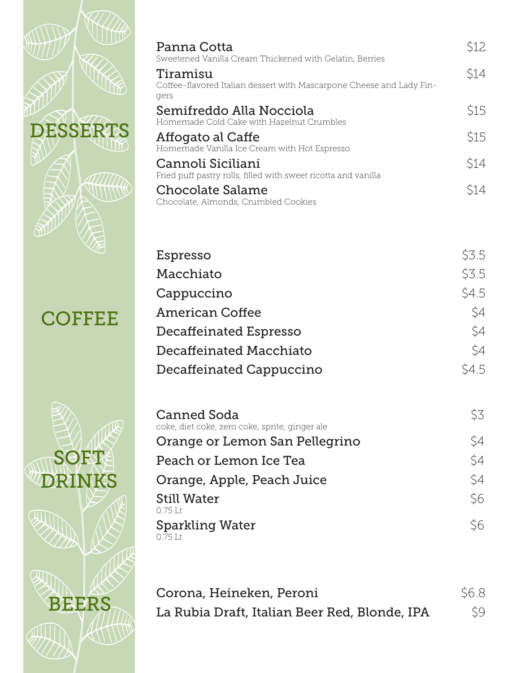|               | Panna Cotta                                                                         | \$12  |
|---------------|-------------------------------------------------------------------------------------|-------|
|               | Sweetened Vanilla Cream Thickened with Gelatin, Berries<br>Tiramisu                 | \$14  |
|               | Coffee-flavored Italian dessert with Mascarpone Cheese and Lady Fin-<br>gers        |       |
|               | Semifreddo Alla Nocciola                                                            | \$15  |
| DESSERTS      | Homemade Cold Cake with Hazelnut Crumbles                                           | \$15  |
|               | Affogato al Caffe<br>Homemade Vanilla Ice Cream with Hot Espresso                   |       |
|               | Cannoli Siciliani<br>Fried puff pastry rolls, filled with sweet ricotta and vanilla | \$14  |
|               | <b>Chocolate Salame</b>                                                             | \$14  |
|               | Chocolate, Almonds, Crumbled Cookies                                                |       |
|               |                                                                                     |       |
|               | Espresso                                                                            | \$3.5 |
|               | Macchiato                                                                           | \$3.5 |
|               | Cappuccino                                                                          | \$4.5 |
|               | <b>American Coffee</b>                                                              | \$4   |
| <b>COFFEE</b> | Decaffeinated Espresso                                                              | \$4   |
|               | Decaffeinated Macchiato                                                             | \$4   |
|               | Decaffeinated Cappuccino                                                            | \$4.5 |
|               |                                                                                     |       |
|               | Canned Soda                                                                         | \$3   |
|               | coke, diet coke, zero coke, sprite, ginger ale                                      |       |
|               | Orange or Lemon San Pellegrino                                                      | \$4   |
| SOET          | Peach or Lemon Ice Tea                                                              | \$4   |
|               | Orange, Apple, Peach Juice                                                          | \$4   |
|               | <b>Still Water</b><br>0.75 Lt                                                       | \$6   |
|               | <b>Sparkling Water</b>                                                              | \$6   |
|               | 0.75 Lt                                                                             |       |
|               |                                                                                     |       |
|               | Corona, Heineken, Peroni                                                            | \$6.8 |
| <b>BEERS</b>  | La Rubia Draft, Italian Beer Red, Blonde, IPA                                       | \$9   |
|               |                                                                                     |       |
|               |                                                                                     |       |
|               |                                                                                     |       |

\$12

\$14

\$15

\$15

\$14

\$14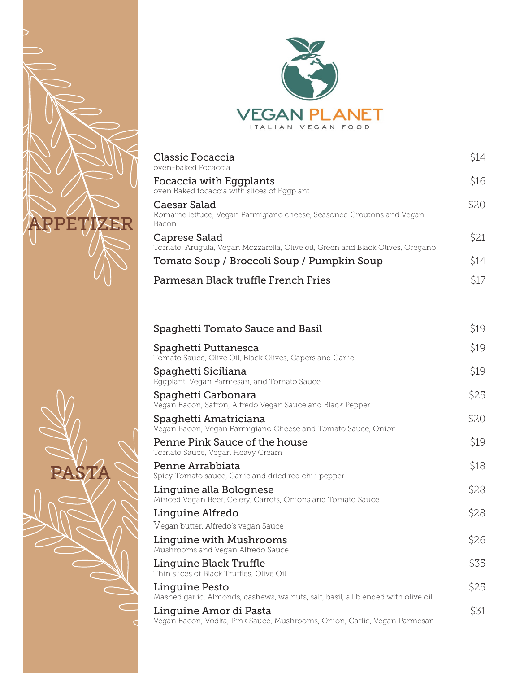

PASTA



| Classic Focaccia<br>oven-baked Focaccia                                                        | S14   |
|------------------------------------------------------------------------------------------------|-------|
| Focaccia with Eggplants<br>oven Baked focaccia with slices of Eggplant                         | \$16  |
| Caesar Salad<br>Romaine lettuce, Vegan Parmigiano cheese, Seasoned Croutons and Vegan<br>Bacon | \$2.0 |
| Caprese Salad<br>Tomato, Arugula, Vegan Mozzarella, Olive oil, Green and Black Olives, Oregano | S21   |
| Tomato Soup / Broccoli Soup / Pumpkin Soup                                                     | \$14  |
| Parmesan Black truffle French Fries                                                            |       |

| Spaghetti Tomato Sauce and Basil                                                                    | \$19 |
|-----------------------------------------------------------------------------------------------------|------|
| Spaghetti Puttanesca<br>Tomato Sauce, Olive Oil, Black Olives, Capers and Garlic                    | \$19 |
| Spaghetti Siciliana<br>Eggplant, Vegan Parmesan, and Tomato Sauce                                   | \$19 |
| Spaghetti Carbonara<br>Vegan Bacon, Safron, Alfredo Vegan Sauce and Black Pepper                    | \$25 |
| Spaghetti Amatriciana<br>Vegan Bacon, Vegan Parmigiano Cheese and Tomato Sauce, Onion               | \$20 |
| Penne Pink Sauce of the house<br>Tomato Sauce, Vegan Heavy Cream                                    | \$19 |
| Penne Arrabbiata<br>Spicy Tomato sauce, Garlic and dried red chili pepper                           | \$18 |
| Linguine alla Bolognese<br>Minced Vegan Beef, Celery, Carrots, Onions and Tomato Sauce              | \$28 |
| Linguine Alfredo<br>Vegan butter, Alfredo's vegan Sauce                                             | \$28 |
| Linguine with Mushrooms<br>Mushrooms and Vegan Alfredo Sauce                                        | \$26 |
| Linguine Black Truffle<br>Thin slices of Black Truffles, Olive Oil                                  | \$35 |
| Linguine Pesto<br>Mashed garlic, Almonds, cashews, walnuts, salt, basil, all blended with olive oil | \$25 |
| Linguine Amor di Pasta<br>Vegan Bacon, Vodka, Pink Sauce, Mushrooms, Onion, Garlic, Vegan Parmesan  | \$31 |